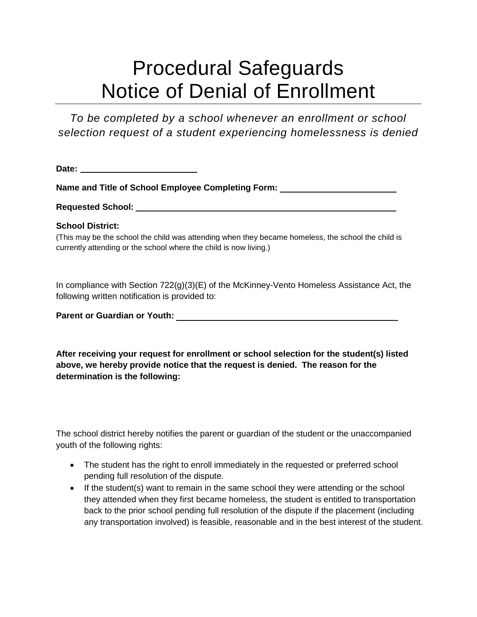## Procedural Safeguards Notice of Denial of Enrollment

*To be completed by a school whenever an enrollment or school selection request of a student experiencing homelessness is denied*

**Date:** 

**Name and Title of School Employee Completing Form:** 

**Requested School:** 

## **School District:**

(This may be the school the child was attending when they became homeless, the school the child is currently attending or the school where the child is now living.)

In compliance with Section 722(g)(3)(E) of the McKinney-Vento Homeless Assistance Act, the following written notification is provided to:

**Parent or Guardian or Youth:** 

**After receiving your request for enrollment or school selection for the student(s) listed above, we hereby provide notice that the request is denied. The reason for the determination is the following:** 

The school district hereby notifies the parent or guardian of the student or the unaccompanied youth of the following rights:

- The student has the right to enroll immediately in the requested or preferred school pending full resolution of the dispute.
- If the student(s) want to remain in the same school they were attending or the school they attended when they first became homeless, the student is entitled to transportation back to the prior school pending full resolution of the dispute if the placement (including any transportation involved) is feasible, reasonable and in the best interest of the student.